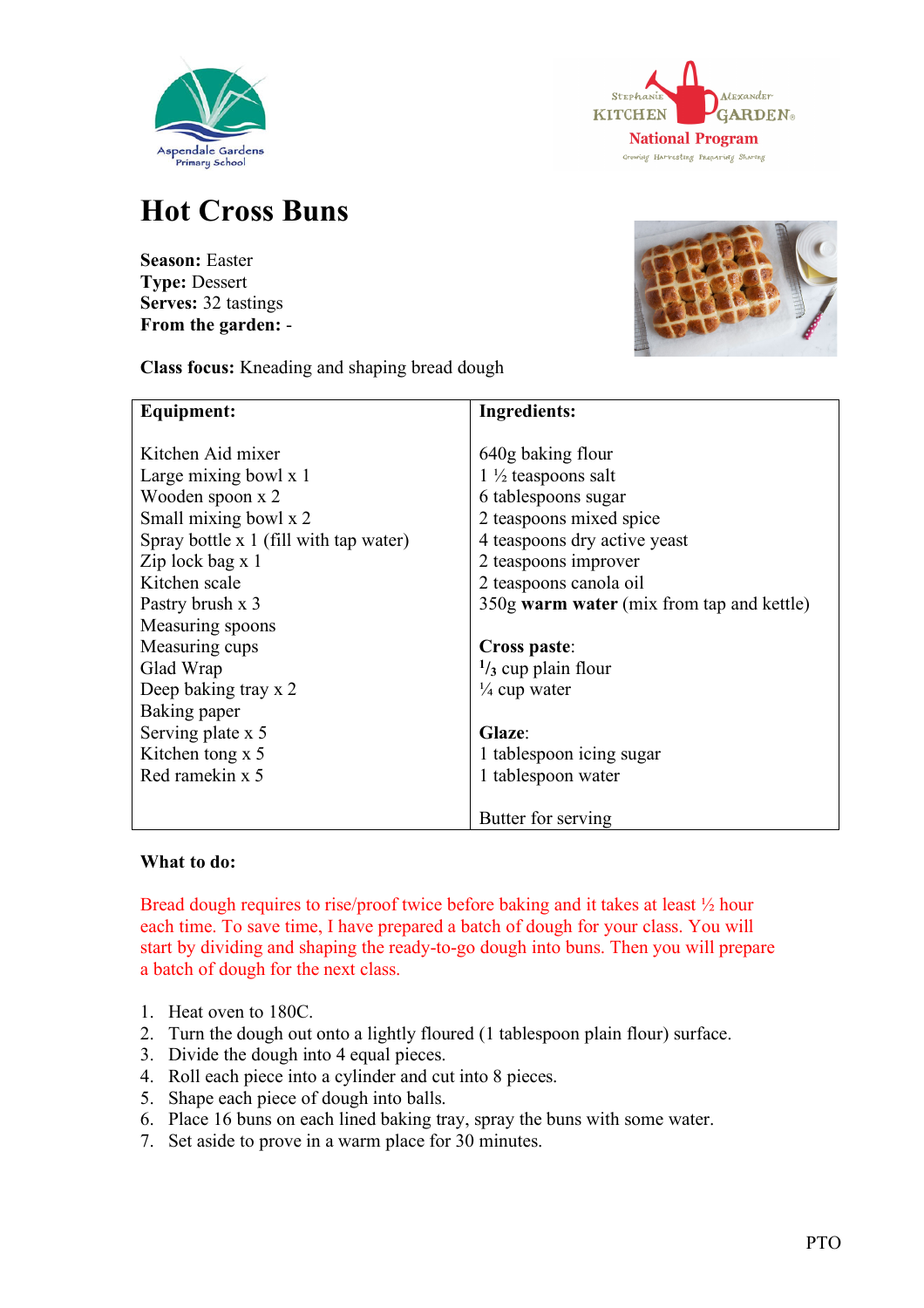



## **Hot Cross Buns**

**Season:** Easter **Type:** Dessert **Serves:** 32 tastings **From the garden:** -



**Class focus:** Kneading and shaping bread dough

| <b>Equipment:</b>                      | <b>Ingredients:</b>                       |
|----------------------------------------|-------------------------------------------|
|                                        |                                           |
| Kitchen Aid mixer                      | 640g baking flour                         |
| Large mixing bowl x 1                  | $1\frac{1}{2}$ teaspoons salt             |
| Wooden spoon x 2                       | 6 tablespoons sugar                       |
| Small mixing bowl x 2                  | 2 teaspoons mixed spice                   |
| Spray bottle x 1 (fill with tap water) | 4 teaspoons dry active yeast              |
| Zip lock bag x 1                       | 2 teaspoons improver                      |
| Kitchen scale                          | 2 teaspoons canola oil                    |
| Pastry brush x 3                       | 350g warm water (mix from tap and kettle) |
| Measuring spoons                       |                                           |
| Measuring cups                         | Cross paste:                              |
| Glad Wrap                              | $\frac{1}{3}$ cup plain flour             |
| Deep baking tray x 2                   | $\frac{1}{4}$ cup water                   |
| Baking paper                           |                                           |
| Serving plate x 5                      | Glaze:                                    |
| Kitchen tong $x$ 5                     | 1 tablespoon icing sugar                  |
| Red ramekin x 5                        | 1 tablespoon water                        |
|                                        |                                           |
|                                        | Butter for serving                        |

## **What to do:**

Bread dough requires to rise/proof twice before baking and it takes at least ½ hour each time. To save time, I have prepared a batch of dough for your class. You will start by dividing and shaping the ready-to-go dough into buns. Then you will prepare a batch of dough for the next class.

- 1. Heat oven to 180C.
- 2. Turn the dough out onto a lightly floured (1 tablespoon plain flour) surface.
- 3. Divide the dough into 4 equal pieces.
- 4. Roll each piece into a cylinder and cut into 8 pieces.
- 5. Shape each piece of dough into balls.
- 6. Place 16 buns on each lined baking tray, spray the buns with some water.
- 7. Set aside to prove in a warm place for 30 minutes.